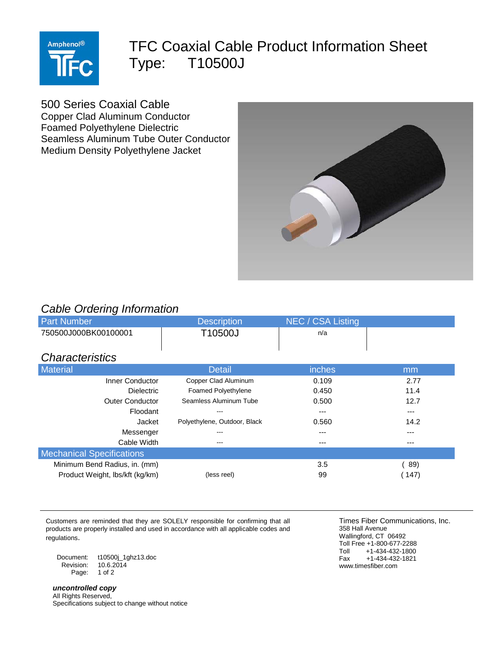

## TFC Coaxial Cable Product Information Sheet Type: T10500J

500 Series Coaxial Cable

Copper Clad Aluminum Conductor Foamed Polyethylene Dielectric Seamless Aluminum Tube Outer Conductor Medium Density Polyethylene Jacket



## *Cable Ordering Information*

| ີ<br><b>Part Number</b>          | <b>Description</b>           | NEC / CSA Listing |       |
|----------------------------------|------------------------------|-------------------|-------|
| 750500J000BK00100001             | T10500J                      | n/a               |       |
|                                  |                              |                   |       |
| <b>Characteristics</b>           |                              |                   |       |
| <b>Material</b>                  | <b>Detail</b>                | inches            | mm    |
| Inner Conductor                  | Copper Clad Aluminum         | 0.109             | 2.77  |
| <b>Dielectric</b>                | <b>Foamed Polyethylene</b>   | 0.450             | 11.4  |
| <b>Outer Conductor</b>           | Seamless Aluminum Tube       | 0.500             | 12.7  |
| Floodant                         | $- - -$                      | $---$             | ---   |
| Jacket                           | Polyethylene, Outdoor, Black | 0.560             | 14.2  |
| Messenger                        | ---                          | ---               | ---   |
| Cable Width                      | ---                          | ---               | ---   |
| <b>Mechanical Specifications</b> |                              |                   |       |
| Minimum Bend Radius, in. (mm)    |                              | 3.5               | 89)   |
| Product Weight, Ibs/kft (kg/km)  | (less reel)                  | 99                | (147) |

Customers are reminded that they are SOLELY responsible for confirming that all products are properly installed and used in accordance with all applicable codes and regulations.

Document: t10500j\_1ghz13.doc  $10.6.2014$ Page: 1 of 2

*uncontrolled copy* All Rights Reserved, Specifications subject to change without notice

Times Fiber Communications, Inc. 358 Hall Avenue Wallingford, CT 06492 Toll Free +1-800-677-2288<br>Toll +1-434-432-1800 Toll +1-434-432-1800<br>Fax +1-434-432-1821  $+1-434-432-1821$ www.timesfiber.com